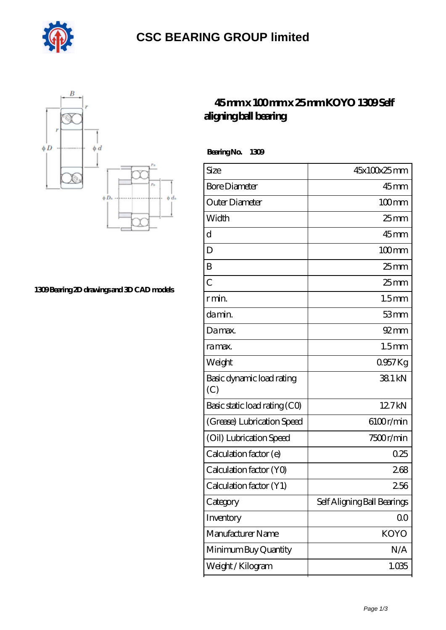

## **[CSC BEARING GROUP limited](https://augustinusga.com)**



**[1309 Bearing 2D drawings and 3D CAD models](https://augustinusga.com/pic-65109930.html)**

## **[45 mm x 100 mm x 25 mm KOYO 1309 Self](https://augustinusga.com/koyo-1309-bearing/) [aligning ball bearing](https://augustinusga.com/koyo-1309-bearing/)**

 **Bearing No. 1309**

| Size                             | 45x100x25mm                 |
|----------------------------------|-----------------------------|
| <b>Bore Diameter</b>             | $45$ mm                     |
| Outer Diameter                   | $100$ mm                    |
| Width                            | $25$ mm                     |
| d                                | $45$ <sub>mm</sub>          |
| D                                | $100$ mm                    |
| B                                | $25$ <sub>mm</sub>          |
| $\overline{C}$                   | 25 <sub>mm</sub>            |
| r min.                           | 1.5 <sub>mm</sub>           |
| da min.                          | 53mm                        |
| Damax.                           | $92 \, \text{mm}$           |
| ra max.                          | 1.5 <sub>mm</sub>           |
| Weight                           | $0.957$ Kg                  |
| Basic dynamic load rating<br>(C) | 381 kN                      |
| Basic static load rating (CO)    | 127kN                       |
| (Grease) Lubrication Speed       | 6100r/min                   |
| (Oil) Lubrication Speed          | 7500r/min                   |
| Calculation factor (e)           | 0.25                        |
| Calculation factor (YO)          | 268                         |
| Calculation factor (Y1)          | 256                         |
| Category                         | Self Aligning Ball Bearings |
| Inventory                        | 0 <sub>0</sub>              |
| Manufacturer Name                | <b>KOYO</b>                 |
| Minimum Buy Quantity             | N/A                         |
| Weight / Kilogram                | 1.035                       |
|                                  |                             |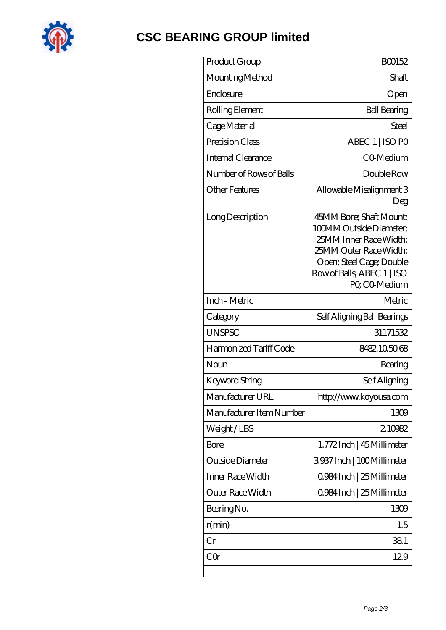

## **[CSC BEARING GROUP limited](https://augustinusga.com)**

| Shaft<br>Open<br><b>Ball Bearing</b><br>Steel<br>ABEC 1   ISO PO<br>CO-Medium<br>Double Row<br>Allowable Misalignment 3<br>Deg<br>45MM Bore; Shaft Mount;<br>100MM Outside Diameter: |
|--------------------------------------------------------------------------------------------------------------------------------------------------------------------------------------|
|                                                                                                                                                                                      |
|                                                                                                                                                                                      |
|                                                                                                                                                                                      |
|                                                                                                                                                                                      |
|                                                                                                                                                                                      |
|                                                                                                                                                                                      |
|                                                                                                                                                                                      |
|                                                                                                                                                                                      |
| 25MM Inner Race Width:<br>25MM Outer Race Width;<br>Open; Steel Cage; Double<br>Row of Balls, ABEC 1   ISO<br>PO, CO-Medium                                                          |
| Metric                                                                                                                                                                               |
| Self Aligning Ball Bearings                                                                                                                                                          |
| 31171532                                                                                                                                                                             |
| 8482105068                                                                                                                                                                           |
| Bearing                                                                                                                                                                              |
| Self Aligning                                                                                                                                                                        |
| http://www.koyousa.com                                                                                                                                                               |
| 1309                                                                                                                                                                                 |
| 210982                                                                                                                                                                               |
| 1.772Inch   45 Millimeter                                                                                                                                                            |
| 3937 Inch   100 Millimeter                                                                                                                                                           |
| 0.984 Inch   25 Millimeter                                                                                                                                                           |
|                                                                                                                                                                                      |
| 0.984 Inch   25 Millimeter                                                                                                                                                           |
| 1309                                                                                                                                                                                 |
| 1.5                                                                                                                                                                                  |
| 381                                                                                                                                                                                  |
|                                                                                                                                                                                      |